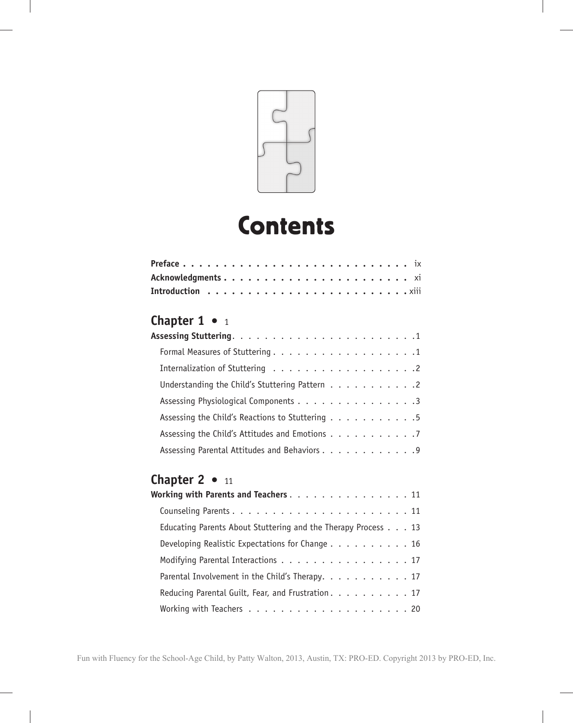

# **Contents**

| <b>Chapter 1</b> $\bullet$ 1                            |  |  |  |  |  |
|---------------------------------------------------------|--|--|--|--|--|
|                                                         |  |  |  |  |  |
|                                                         |  |  |  |  |  |
|                                                         |  |  |  |  |  |
| Understanding the Child's Stuttering Pattern $\ldots$ 2 |  |  |  |  |  |
| Assessing Physiological Components 3                    |  |  |  |  |  |
| Assessing the Child's Reactions to Stuttering 5         |  |  |  |  |  |

| Assessing the Child's Attitudes and Emotions 7 |  |  |  |  |  |  |
|------------------------------------------------|--|--|--|--|--|--|
| Assessing Parental Attitudes and Behaviors 9   |  |  |  |  |  |  |

## **Chapter 2 •** 11

| Working with Parents and Teachers. $\ldots$ . 11              |  |  |
|---------------------------------------------------------------|--|--|
|                                                               |  |  |
| Educating Parents About Stuttering and the Therapy Process 13 |  |  |
| Developing Realistic Expectations for Change 16               |  |  |
| Modifying Parental Interactions 17                            |  |  |
| Parental Involvement in the Child's Therapy. 17               |  |  |
| Reducing Parental Guilt, Fear, and Frustration. 17            |  |  |
|                                                               |  |  |
|                                                               |  |  |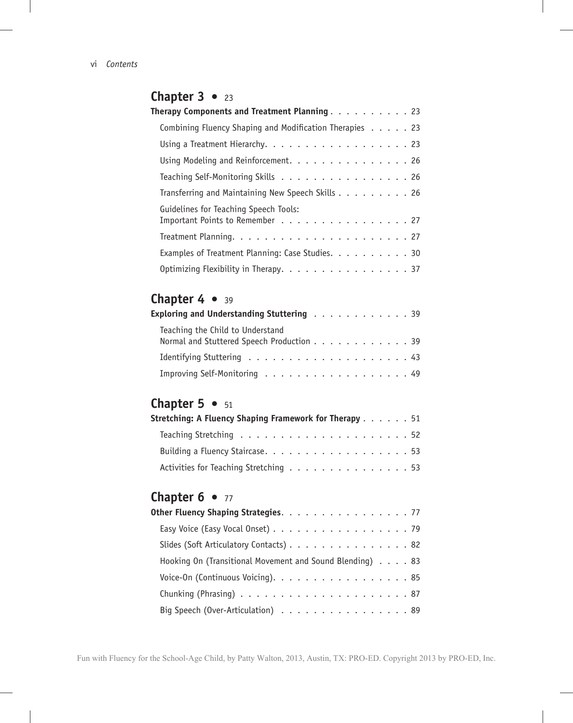## **Chapter 3** • 23 **Therapy Components and Treatment Planning** . . . . . . . . . . 23 Combining Fluency Shaping and Modification Therapies . . . . . 23 Using a Treatment Hierarchy. . . . . . . . . . . . . . . . . . 23 Using Modeling and Reinforcement. . . . . . . . . . . . . . . 26 Teaching Self-Monitoring Skills . . . . . . . . . . . . . . . . 26 Transferring and Maintaining New Speech Skills . . . . . . . . . 26 Guidelines for Teaching Speech Tools: Important Points to Remember . . . . . . . . . . . . . . . . 27 Treatment Planning. . . . . . . . . . . . . . . . . . . . . . 27 Examples of Treatment Planning: Case Studies. . . . . . . . . . 30 Optimizing Flexibility in Therapy. . . . . . . . . . . . . . . . . 37

#### Chapter 4 • 39

| Exploring and Understanding Stuttering $\ldots \ldots \ldots \ldots$          |  |  |  |  |  |  |  |
|-------------------------------------------------------------------------------|--|--|--|--|--|--|--|
| Teaching the Child to Understand<br>Normal and Stuttered Speech Production 39 |  |  |  |  |  |  |  |
|                                                                               |  |  |  |  |  |  |  |
| Improving Self-Monitoring 49                                                  |  |  |  |  |  |  |  |

#### **Chapter 5 • 51**

| Stretching: A Fluency Shaping Framework for Therapy 51 |  |  |  |  |
|--------------------------------------------------------|--|--|--|--|
|                                                        |  |  |  |  |
|                                                        |  |  |  |  |
| Activities for Teaching Stretching 53                  |  |  |  |  |

## **Chapter 6 • 77**

| Other Fluency Shaping Strategies. 77                     |
|----------------------------------------------------------|
| Easy Voice (Easy Vocal Onset) 79                         |
| Slides (Soft Articulatory Contacts) 82                   |
| Hooking On (Transitional Movement and Sound Blending) 83 |
| Voice-On (Continuous Voicing). 85                        |
|                                                          |
| Big Speech (Over-Articulation) 89                        |